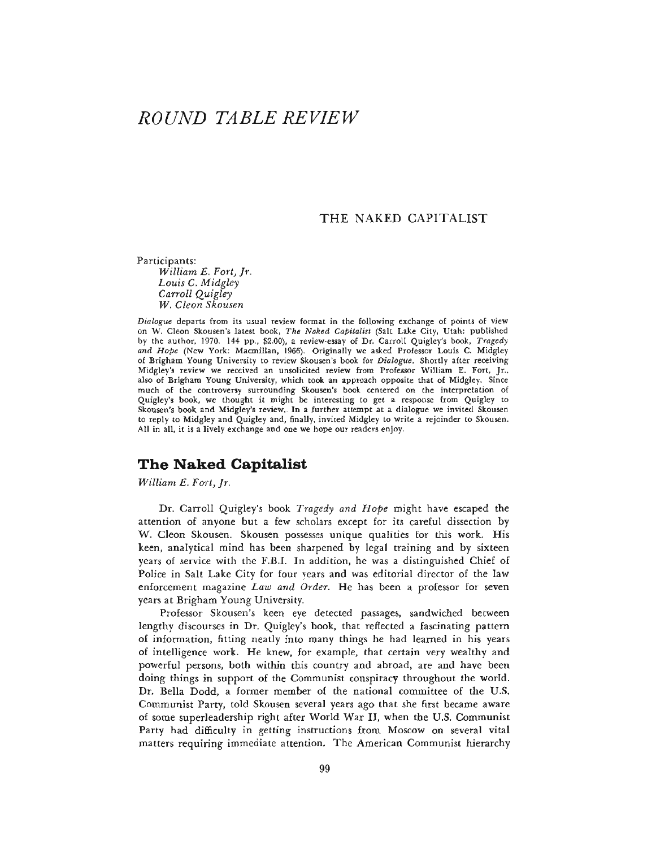# *ROUND TABLE REVIEW*

### THE NAKED CAPITALIST

Participants:

*William E. Fort, Jr. Louis C. Midgley Carroll Quigley W. Cleon Skousen*

*Dialogue* departs from its usual review format in the following exchange of points of view on W. Cleon Skousen's latest book, *The Naked Capitalist* (Salt Lake City, Utah: published by the author, 1970. 144 pp., \$2.00), a review-essay of Dr. Carroll Quigley's book, *Tragedy and Hope* (New York: Macmillan, 1966). Originally we asked Professor Louis C. Midgley of Brigharn Young University to review Skousen's book for *Dialogue.* Shortly after receiving Midgley's review we received an unsolicited review from Professor William E. Fort, Jr., also of Brigham Young University, which took an approach opposite that of Midgley. Since much of the controversy surrounding Skousen's book centered on the interpretation of Quigley's book, we thought it might be interesting to get a response from Quigley to Skousen's book and Midgley's review. In a further attempt at a dialogue we invited Skousen to reply to Midgley and Quigley and, finally, invited Midgley to write a rejoinder to Skousen. All in all, it is a lively exchange and one we hope our readers enjoy.

# **The Naked Capitalist**

*William E. Fort, Jr.*

Dr. Carroll Quigley's book *Tragedy and Hope* might have escaped the attention of anyone but a few scholars except for its careful dissection by W. Cleon Skousen. Skousen possesses unique qualities for this work. His keen, analytical mind has been sharpened by legal training and by sixteen years of service with the F.B.I. In addition, he was a distinguished Chief of Police in Salt Lake City for four years and was editorial director of the law enforcement magazine *Law and Order.* He has been a professor for seven years at Brigham Young University.

Professor Skousen's keen eye detected passages, sandwiched between lengthy discourses in Dr. Quigley's book, that reflected a fascinating pattern of information, fitting neatly into many things he had learned in his years of intelligence work. He knew, for example, that certain very wealthy and powerful persons, both within this country and abroad, are and have been doing things in support of the Communist conspiracy throughout the world. Dr. Bella Dodd, a former member of the national committee of the U.S. Communist Party, told Skousen several years ago that she first became aware of some superleadership right after World War II, when the U.S. Communist Party had difficulty in getting instructions from Moscow on several vital matters requiring immediate attention. The American Communist hierarchy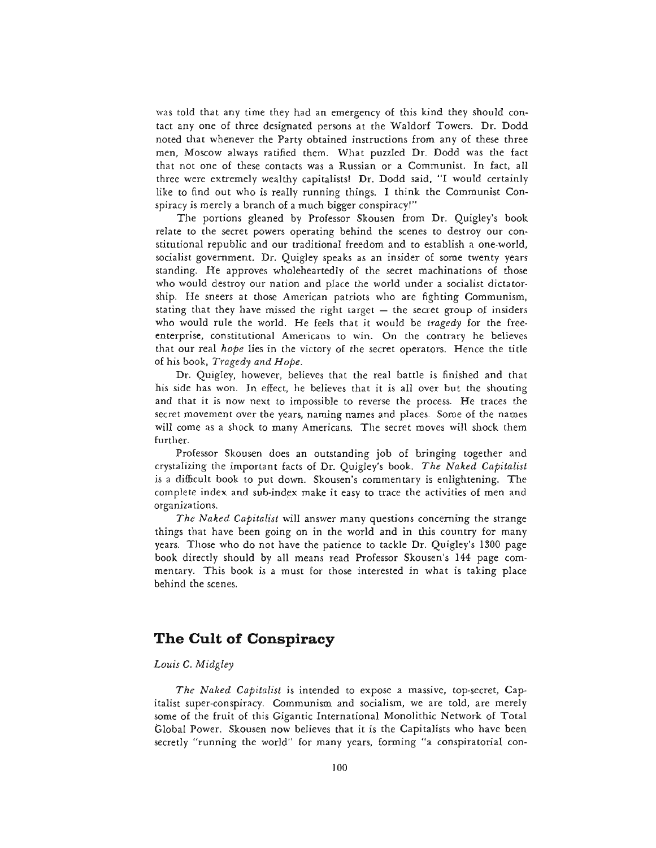was told that any time they had an emergency of this kind they should contact any one of three designated persons at the Waldorf Towers. Dr. Dodd noted that whenever the Party obtained instructions from any of these three men, Moscow always ratified them. What puzzled Dr. Dodd was the fact that not one of these contacts was a Russian or a Communist. In fact, all three were extremely wealthy capitalists! Dr. Dodd said, "I would certainly like to find out who is really running things. I think the Communist Conspiracy is merely a branch of a much bigger conspiracy!"

The portions gleaned by Professor Skousen from Dr. Quigley's book relate to the secret powers operating behind the scenes to destroy our constitutional republic and our traditional freedom and to establish a one-world, socialist government. Dr. Quigley speaks as an insider of some twenty years standing. He approves wholeheartedly of the secret machinations of those who would destroy our nation and place the world under a socialist dictatorship. He sneers at those American patriots who are fighting Communism, stating that they have missed the right target — the secret group of insiders who would rule the world. He feels that it would be *tragedy* for the freeenterprise, constitutional Americans to win. On the contrary he believes that our real *hope* lies in the victory of the secret operators. Hence the title of his book, *Tragedy and Hope.*

Dr. Quigley, however, believes that the real battle is finished and that his side has won. In effect, he believes that it is all over but the shouting and that it is now next to impossible to reverse the process. He traces the secret movement over the years, naming names and places. Some of the names will come as a shock to many Americans. The secret moves will shock them further.

Professor Skousen does an outstanding job of bringing together and crystalizing the important facts of Dr. Quigley's book. *The Naked Capitalist* is a difficult book to put down. Skousen's commentary is enlightening. The complete index and sub-index make it easy to trace the activities of men and organizations.

*The Naked Capitalist* will answer many questions concerning the strange things that have been going on in the world and in this country for many years. Those who do not have the patience to tackle Dr. Quigley's 1300 page book directly should by all means read Professor Skousen's 144 page commentary. This book is a must for those interested in what is taking place behind the scenes.

# **The Cult of Conspiracy**

### *Louis C. Midgley*

*The Naked Capitalist* is intended to expose a massive, top-secret, Capitalist super-conspiracy. Communism and socialism, we are told, are merely some of the fruit of this Gigantic International Monolithic Network of Total Global Power. Skousen now believes that it is the Capitalists who have been secretly "running the world" for many years, forming "a conspiratorial con-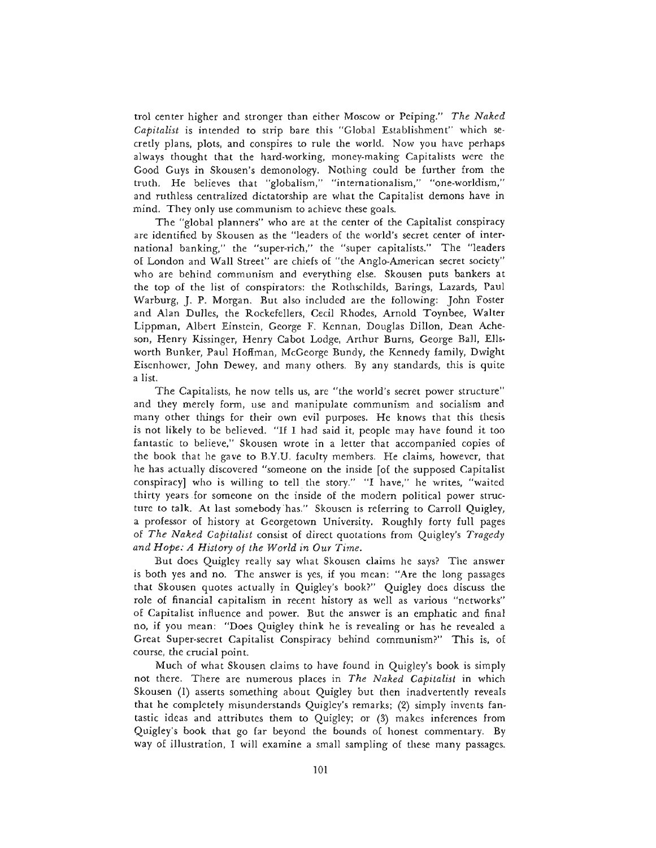trol center higher and stronger than either Moscow or Peiping." *The Naked Capitalist* is intended to strip bare this "Global Establishment" which secretly plans, plots, and conspires to rule the world. Now you have perhaps always thought that the hard-working, money-making Capitalists were the Good Guys in Skousen's demonology. Nothing could be further from the truth. He believes that "globalism," "internationalism," "one-worldism," and ruthless centralized dictatorship are what the Capitalist demons have in mind. They only use communism to achieve these goals.

The "global planners" who are at the center of the Capitalist conspiracy are identified by Skousen as the "leaders of the world's secret center of international banking," the "super-rich," the "super capitalists." The "leaders of London and Wall Street" are chiefs of "the Anglo-American secret society" who are behind communism and everything else. Skousen puts bankers at the top of the list of conspirators: the Rothschilds, Barings, Lazards, Paul Warburg, J. P. Morgan. But also included are the following: John Foster and Alan Dulles, the Rockefellers, Cecil Rhodes, Arnold Toynbee, Walter Lippman, Albert Einstein, George F. Kennan, Douglas Dillon, Dean Acheson, Henry Kissinger, Henry Cabot Lodge, Arthur Burns, George Ball, Ellsworth Bunker, Paul Hoffman, McGeorge Bundy, the Kennedy family, Dwight Eisenhower, John Dewey, and many others. By any standards, this is quite a list.

The Capitalists, he now tells us, are "the world's secret power structure" and they merely form, use and manipulate communism and socialism and many other things for their own evil purposes. He knows that this thesis is not likely to be believed. "If I had said it, people may have found it too fantastic to believe," Skousen wrote in a letter that accompanied copies of the book that he gave to B.Y.U. faculty members. He claims, however, that he has actually discovered "someone on the inside [of the supposed Capitalist conspiracy] who is willing to tell the story." "I have," he writes, "waited thirty years for someone on the inside of the modern political power structure to talk. At last somebody has." Skousen is referring to Carroll Quigley, a professor of history at Georgetown University. Roughly forty full pages of *The Naked Capitalist* consist of direct quotations from Quigley's *Tragedy and Hope: A History of the World in Our Time.*

But does Quigley really say what Skousen claims he says? The answer is both yes and no. The answer is yes, if you mean: "Are the long passages that Skousen quotes actually in Quigley's book?" Quigley does discuss the role of financial capitalism in recent history as well as various "networks" of Capitalist influence and power. But the answer is an emphatic and final no, if you mean: "Does Quigley think he is revealing or has he revealed a Great Super-secret Capitalist Conspiracy behind communism?" This is, of course, the crucial point.

Much of what Skousen claims to have found in Quigley's book is simply not there. There are numerous places in *The Naked Capitalist* in which Skousen (1) asserts something about Quigley but then inadvertently reveals that he completely misunderstands Quigley's remarks; (2) simply invents fantastic ideas and attributes them to Quigley; or (3) makes inferences from Quigley's book that go far beyond the bounds of honest commentary. By way of illustration, I will examine a small sampling of these many passages.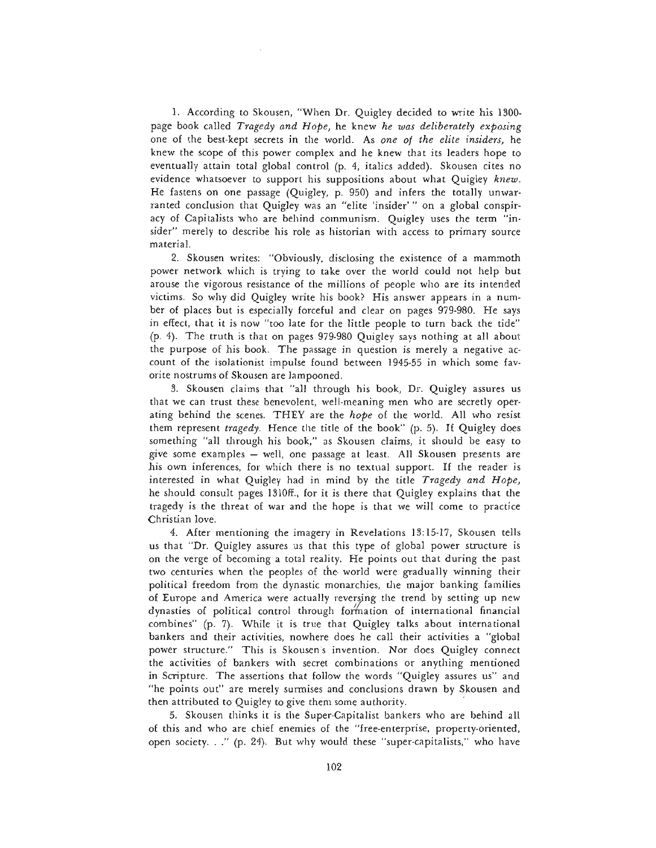1. According to Skousen, "When Dr. Quigley decided to write his 1300 page book called *Tragedy and Hope,* he knew *he was deliberately exposing* one of the best-kept secrets in the world. As *one of the elite insiders,* he knew the scope of this power complex and he knew that its leaders hope to eventually attain total global control (p. 4, italics added). Skousen cites no evidence whatsoever to support his suppositions about what Quigley *knew.* He fastens on one passage (Quigley, p. 950) and infers the totally unwarranted conclusion that Quigley was an "elite 'insider' " on a global conspiracy of Capitalists who are behind communism. Quigley uses the term "insider" merely to describe his role as historian with access to primary source material.

2. Skousen writes: "Obviously, disclosing the existence of a mammoth power network which is trying to take over the world could not help but arouse the vigorous resistance of the millions of people who are its intended victims. So why did Quigley write his book? His answer appears in a number of places but is especially forceful and clear on pages 979-980. He says in effect, that it is now "too late for the little people to turn back the tide" (p. 4). The truth is that on pages 979-980 Quigley says nothing at all about the purpose of his book. The passage in question is merely a negative account of the isolationist impulse found between 1945-55 in which some favorite nostrums of Skousen are lampooned.

3. Skousen claims that "all through his book, Dr. Quigley assures us that we can trust these benevolent, well-meaning men who are secretly operating behind the scenes. THEY are the *hope* of the world. All who resist them represent *tragedy.* Hence the title of the book" (p. 5). If Quigley does something "all through his book," as Skousen claims, it should be easy to give some examples — well, one passage at least. All Skousen presents are his own inferences, for which there is no textual support. If the reader is interested in what Quigley had in mind by the title *Tragedy and Hope,* he should consult pages 1310ff., for it is there that Quigley explains that the tragedy is the threat of war and the hope is that we will come to practice Christian love.

4. After mentioning the imagery in Revelations 13:15-17, Skousen tells us that "Dr. Quigley assures us that this type of global power structure is on the verge of becoming a total reality. He points out that during the past two centuries when the peoples of the world were gradually winning their political freedom from the dynastic monarchies, the major banking families of Europe and America were actually reversing the trend by setting up new dynasties of political control through formation of international financial combines" (p. 7). While it is true that Quigley talks about international bankers and their activities, nowhere does he call their activities a "global power structure." This is Skousen's invention. Nor does Quigley connect the activities of bankers with secret combinations or anything mentioned in Scripture. The assertions that follow the words "Quigley assures us" and "he points out" are merely surmises and conclusions drawn by Skousen and then attributed to Quigley to give them some authority.

5. Skousen thinks it is the Super-Capitalist bankers who are behind all of this and who are chief enemies of the "free-enterprise, property-oriented, open society. . ." (p. 24). But why would these "super-capitalists," who have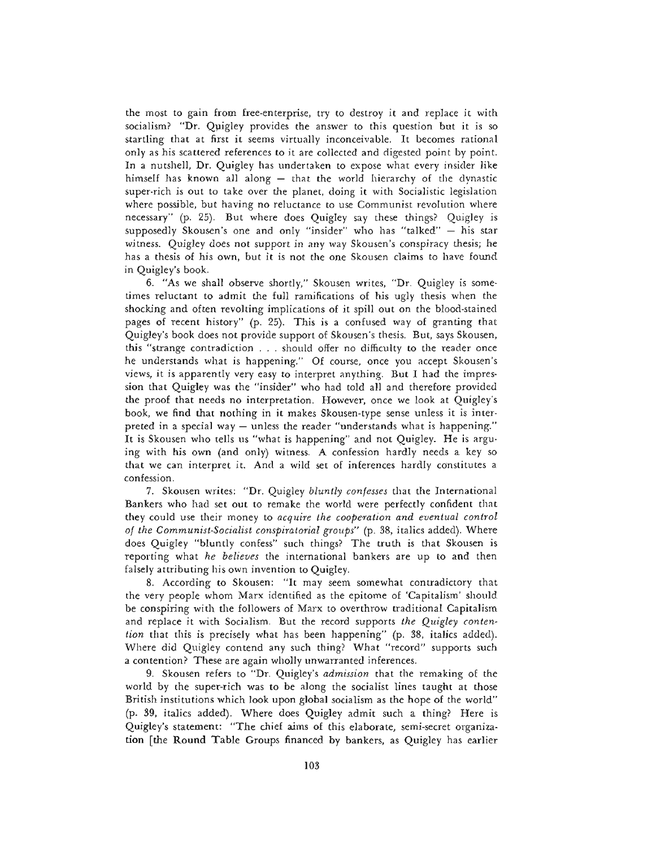the most to gain from free-enterprise, try to destroy it and replace it with socialism? "Dr. Quigley provides the answer to this question but it is so startling that at first it seems virtually inconceivable. It becomes rational only as his scattered references to it are collected and digested point by point. In a nutshell, Dr. Quigley has undertaken to expose what every insider like himself has known all along — that the world hierarchy of the dynastic super-rich is out to take over the planet, doing it with Socialistic legislation where possible, but having no reluctance to use Communist revolution where necessary" (p. 25). But where does Quigley say these things? Quigley is supposedly Skousen's one and only "insider" who has "talked" — his star witness. Quigley does not support in any way Skousen's conspiracy thesis; he has a thesis of his own, but it is not the one Skousen claims to have found in Quigley's book.

6. "As we shall observe shortly," Skousen writes, "Dr. Quigley is sometimes reluctant to admit the full ramifications of his ugly thesis when the shocking and often revolting implications of it spill out on the blood-stained pages of recent history" (p. 25). This is a confused way of granting that Quigley's book does not provide support of Skousen's thesis. But, says Skousen, this "strange contradiction . . . should offer no difficulty to the reader once he understands what is happening." Of course, once you accept Skousen's views, it is apparently very easy to interpret anything. But I had the impression that Quigley was the "insider" who had told all and therefore provided the proof that needs no interpretation. However, once we look at Quigley's book, we find that nothing in it makes Skousen-type sense unless it is interpreted in a special way — unless the reader "understands what is happening." It is Skousen who tells us "what is happening" and not Quigley. He is arguing with his own (and only) witness. A confession hardly needs a key so that we can interpret it. And a wild set of inferences hardly constitutes a confession.

7. Skousen writes: "Dr. Quigley *bluntly confesses* that the International Bankers who had set out to remake the world were perfectly confident that they could use their money to *acquire the cooperation and eventual control of the Communist-Socialist conspiratorial groups"* (p. 38, italics added). Where does Quigley "bluntly confess" such things? The truth is that Skousen is reporting what *he believes* the international bankers are up to and then falsely attributing his own invention to Quigley.

8. According to Skousen: "It may seem somewhat contradictory that the very people whom Marx identified as the epitome of 'Capitalism' should be conspiring with the followers of Marx to overthrow traditional Capitalism and replace it with Socialism. But the record supports *the Quigley contention* that this is precisely what has been happening" (p. 38, italics added). Where did Quigley contend any such thing? What "record" supports such a contention? These are again wholly unwarranted inferences.

9. Skousen refers to "Dr. Quigley's *admission* that the remaking of the world by the super-rich was to be along the socialist lines taught at those British institutions which look upon global socialism as the hope of the world" (p. 39, italics added). Where does Quigley admit such a thing? Here is Quigley's statement: "The chief aims of this elaborate, semi-secret organization [the Round Table Groups financed by bankers, as Quigley has earlier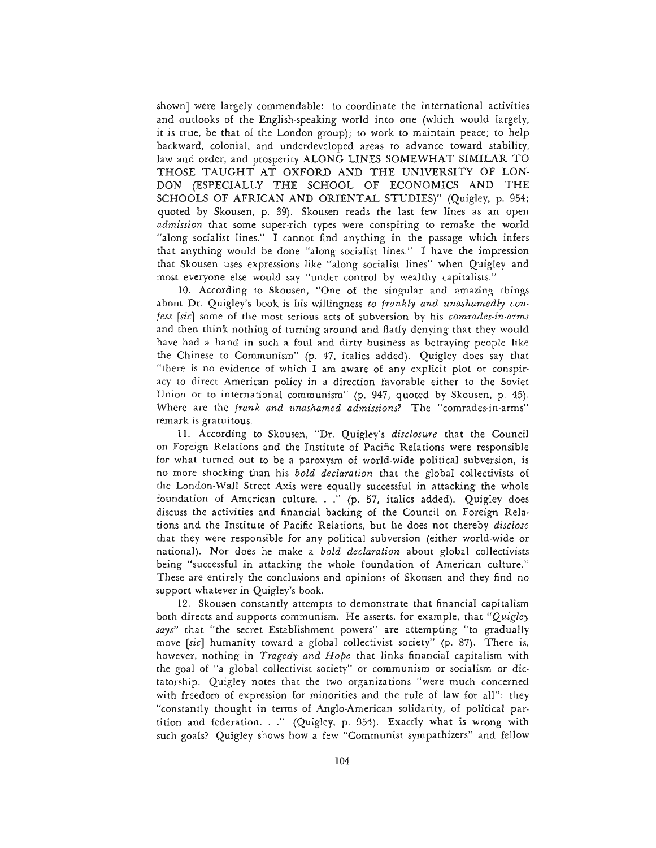shown] were largely commendable: to coordinate the international activities and outlooks of the English-speaking world into one (which would largely, it is true, be that of the London group); to work to maintain peace; to help backward, colonial, and underdeveloped areas to advance toward stability, law and order, and prosperity ALONG LINES SOMEWHAT SIMILAR TO THOSE TAUGHT AT OXFORD AND THE UNIVERSITY OF LON-DON (ESPECIALLY THE SCHOOL OF ECONOMICS AND THE SCHOOLS OF AFRICAN AND ORIENTAL STUDIES)" (Quigley, p. 954; quoted by Skousen, p. 39). Skousen reads the last few lines as an open *admission* that some super-rich types were conspiring to remake the world "along socialist lines." I cannot find anything in the passage which infers that anything would be done "along socialist lines." I have the impression that Skousen uses expressions like "along socialist lines" when Quigley and most everyone else would say "under control by wealthy capitalists."

10. According to Skousen, "One of the singular and amazing things about Dr. Quigley's book is his willingness *to frankly and unashamedly confess [sic]* some of the most serious acts of subversion by his *comrades-in-arms* and then think nothing of turning around and flatly denying that they would have had a hand in such a foul and dirty business as betraying people like the Chinese to Communism" (p. 47, italics added). Quigley does say that "there is no evidence of which I am aware of any explicit plot or conspiracy to direct American policy in a direction favorable either to the Soviet Union or to international communism" (p. 947, quoted by Skousen, p. 45). Where are the *frank and unashamed admissions?* The "comrades-in-arms" remark is gratuitous.

11. According to Skousen, "Dr. Quigley's *disclosure* that the Council on Foreign Relations and the Institute of Pacific Relations were responsible for what turned out to be a paroxysm of world-wide political subversion, is no more shocking than his *bold declaration* that the global collectivists of the London-Wall Street Axis were equally successful in attacking the whole foundation of American culture. . ." (p. 57, italics added). Quigley does discuss the activities and financial backing of the Council on Foreign Relations and the Institute of Pacific Relations, but he does not thereby *disclose* that they were responsible for any political subversion (either world-wide or national). Nor does he make a *bold declaration* about global collectivists being "successful in attacking the whole foundation of American culture." These are entirely the conclusions and opinions of Skousen and they find no support whatever in Quigley's book.

12. Skousen constantly attempts to demonstrate that financial capitalism both directs and supports communism. He asserts, for example, that *"Quigley says"* that "the secret Establishment powers" are attempting "to gradually move *[sic]* humanity toward a global collectivist society" (p. 87). There is, however, nothing in *Tragedy and Hope* that links financial capitalism with the goal of "a global collectivist society" or communism or socialism or dictatorship. Quigley notes that the two organizations "were much concerned with freedom of expression for minorities and the rule of law for all"; they "constantly thought in terms of Anglo-American solidarity, of political partition and federation. . ." (Quigley, p. 954). Exactly what is wrong with such goals? Quigley shows how a few "Communist sympathizers" and fellow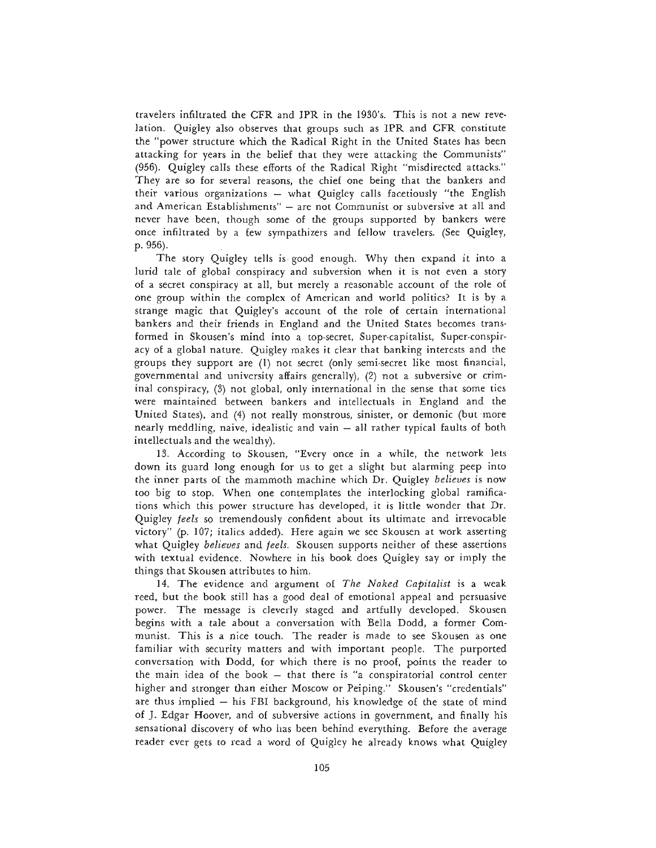travelers infiltrated the CFR and IPR in the 1930's. This is not a new revelation. Quigley also observes that groups such as IPR and CFR constitute the "power structure which the Radical Right in the United States has been attacking for years in the belief that they were attacking the Communists" (956). Quigley calls these efforts of the Radical Right "misdirected attacks." They are so for several reasons, the chief one being that the bankers and their various organizations — what Quigley calls facetiously "the English and American Establishments" — are not Communist or subversive at all and never have been, though some of the groups supported by bankers were once infiltrated by a few sympathizers and fellow travelers. (See Quigley, p. 956).

The story Quigley tells is good enough. Why then expand it into a lurid tale of global conspiracy and subversion when it is not even a story of a secret conspiracy at all, but merely a reasonable account of the role of one group within the complex of American and world politics? It is by a strange magic that Quigley's account of the role of certain international bankers and their friends in England and the United States becomes transformed in Skousen's mind into a top-secret, Super-capitalist, Super-conspiracy of a global nature. Quigley makes it clear that banking interests and the groups they support are (1) not secret (only semi-secret like most financial, governmental and university affairs generally), (2) not a subversive or criminal conspiracy, (3) not global, only international in the sense that some ties were maintained between bankers and intellectuals in England and the United States), and (4) not really monstrous, sinister, or demonic (but more nearly meddling, naive, idealistic and vain — all rather typical faults of both intellectuals and the wealthy).

13. According to Skousen, "Every once in a while, the network lets down its guard long enough for us to get a slight but alarming peep into the inner parts of the mammoth machine which Dr. Quigley *believes* is now too big to stop. When one contemplates the interlocking global ramifications which this power structure has developed, it is little wonder that Dr. Quigley *feels* so tremendously confident about its ultimate and irrevocable victory" (p. 107; italics added). Here again we see Skousen at work asserting what Quigley *believes* and *feels.* Skousen supports neither of these assertions with textual evidence. Nowhere in his book does Quigley say or imply the things that Skousen attributes to him.

14. The evidence and argument of *The Naked Capitalist* is a weak reed, but the book still has a good deal of emotional appeal and persuasive power. The message is cleverly staged and artfully developed. Skousen begins with a tale about a conversation with Bella Dodd, a former Communist. This is a nice touch. The reader is made to see Skousen as one familiar with security matters and with important people. The purported conversation with Dodd, for which there is no proof, points the reader to the main idea of the book — that there is "a conspiratorial control center higher and stronger than either Moscow or Peiping." Skousen's "credentials" are thus implied — his FBI background, his knowledge of the state of mind of J. Edgar Hoover, and of subversive actions in government, and finally his sensational discovery of who has been behind everything. Before the average reader ever gets to read a word of Quigley he already knows what Quigley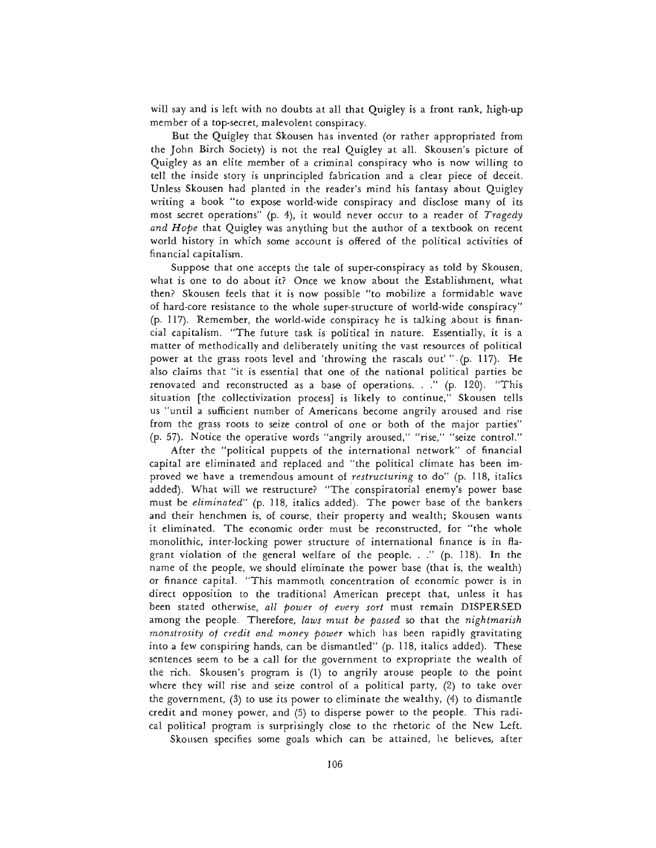will say and is left with no doubts at all that Quigley is a front rank, high-up member of a top-secret, malevolent conspiracy.

But the Quigley that Skousen has invented (or rather appropriated from the John Birch Society) is not the real Quigley at all. Skousen's picture of Quigley as an elite member of a criminal conspiracy who is now willing to tell the inside story is unprincipled fabrication and a clear piece of deceit. Unless Skousen had planted in the reader's mind his fantasy about Quigley writing a book "to expose world-wide conspiracy and disclose many of its most secret operations" (p. 4), it would never occur to a reader of *Tragedy and Hope* that Quigley was anything but the author of a textbook on recent world history in which some account is offered of the political activities of financial capitalism.

Suppose that one accepts the tale of super-conspiracy as told by Skousen, what is one to do about it? Once we know about the Establishment, what then? Skousen feels that it is now possible "to mobilize a formidable wave of hard-core resistance to the whole super-structure of world-wide conspiracy" (p. 117). Remember, the world-wide conspiracy he is talking about is financial capitalism. "The future task is political in nature. Essentially, it is a matter of methodically and deliberately uniting the vast resources of political power at the grass roots level and 'throwing the rascals out'" (p. 117). He also claims that "it is essential that one of the national political parties be renovated and reconstructed as a base of operations. . ." (p. 120). "This situation [the collectivization process] is likely to continue," Skousen tells us "until a sufficient number of Americans become angrily aroused and rise from the grass roots to seize control of one or both of the major parties" (p. 57). Notice the operative words "angrily aroused," "rise," "seize control."

After the "political puppets of the international network" of financial capital are eliminated and replaced and "the political climate has been improved we have a tremendous amount of *restructuring* to do" (p. 118, italics added). What will we restructure? "The conspiratorial enemy's power base must be *eliminated"* (p. 118, italics added). The power base of the bankers and their henchmen is, of course, their property and wealth; Skousen wants it eliminated. The economic order must be reconstructed, for "the whole monolithic, inter-locking power structure of international finance is in flagrant violation of the general welfare of the people. . ." (p. 118). In the name of the people, we should eliminate the power base (that is, the wealth) or finance capital. "This mammoth concentration of economic power is in direct opposition to the traditional American precept that, unless it has been stated otherwise, *all power of every sort* must remain DISPERSED among the people. Therefore, *laws must be passed* so that the *nightmarish monstrosity of credit and money power* which has been rapidly gravitating into a few conspiring hands, can be dismantled" (p. 118, italics added). These sentences seem to be a call for the government to expropriate the wealth of the rich. Skousen's program is (1) to angrily arouse people to the point where they will rise and seize control of a political party, (2) to take over the government, (3) to use its power to eliminate the wealthy, (4) to dismantle credit and money power, and (5) to disperse power to the people. This radical political program is surprisingly close to the rhetoric of the New Left.

Skousen specifies some goals which can be attained, he believes, after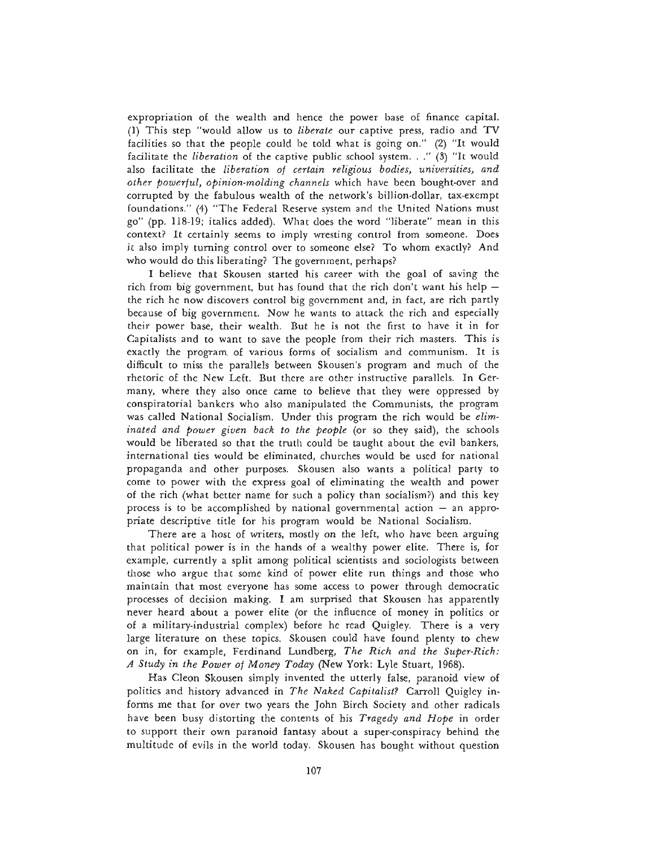expropriation of the wealth and hence the power base of finance capital. (1) This step "would allow us to *liberate* our captive press, radio and TV facilities so that the people could be told what is going on." (2) "It would facilitate the *liberation* of the captive public school system. . ." (3) "It would also facilitate the *liberation of certain religious bodies, universities, and other powerful, opinion-molding channels* which have been bought-over and corrupted by the fabulous wealth of the network's billion-dollar, tax-exempt foundations." (4) "The Federal Reserve system and the United Nations must go" (pp. 118-19; italics added). What does the word "liberate" mean in this context? It certainly seems to imply wresting control from someone. Does it also imply turning control over to someone else? To whom exactly? And who would do this liberating? The government, perhaps?

I believe that Skousen started his career with the goal of saving the rich from big government, but has found that the rich don't want his help the rich he now discovers control big government and, in fact, are rich partly because of big government. Now he wants to attack the rich and especially their power base, their wealth. But he is not the first to have it in for Capitalists and to want to save the people from their rich masters. This is exactly the program of various forms of socialism and communism. It is difficult to miss the parallels between Skousen's program and much of the rhetoric of the New Left. But there are other instructive parallels. In Germany, where they also once came to believe that they were oppressed by conspiratorial bankers who also manipulated the Communists, the program was called National Socialism. Under this program the rich would be *eliminated and power given back to the people* (or so they said), the schools would be liberated so that the truth could be taught about the evil bankers, international ties would be eliminated, churches would be used for national propaganda and other purposes. Skousen also wants a political party to come to power with the express goal of eliminating the wealth and power of the rich (what better name for such a policy than socialism?) and this key process is to be accomplished by national governmental action — an appropriate descriptive title for his program would be National Socialism.

There are a host of writers, mostly on the left, who have been arguing that political power is in the hands of a wealthy power elite. There is, for example, currently a split among political scientists and sociologists between those who argue that some kind of power elite run things and those who maintain that most everyone has some access to power through democratic processes of decision making. I am surprised that Skousen has apparently never heard about a power elite (or the influence of money in politics or of a military-industrial complex) before he read Quigley. There is a very large literature on these topics. Skousen could have found plenty to chew on in, for example, Ferdinand Lundberg, *The Rich and the Super-Rich: A Study in the Power of Money Today* (New York: Lyle Stuart, 1968).

Has Cleon Skousen simply invented the utterly false, paranoid view of politics and history advanced in *The Naked Capitalist?* Carroll Quigley informs me that for over two years the John Birch Society and other radicals have been busy distorting the contents of his *Tragedy and Hope* in order to support their own paranoid fantasy about a super-conspiracy behind the multitude of evils in the world today. Skousen has bought without question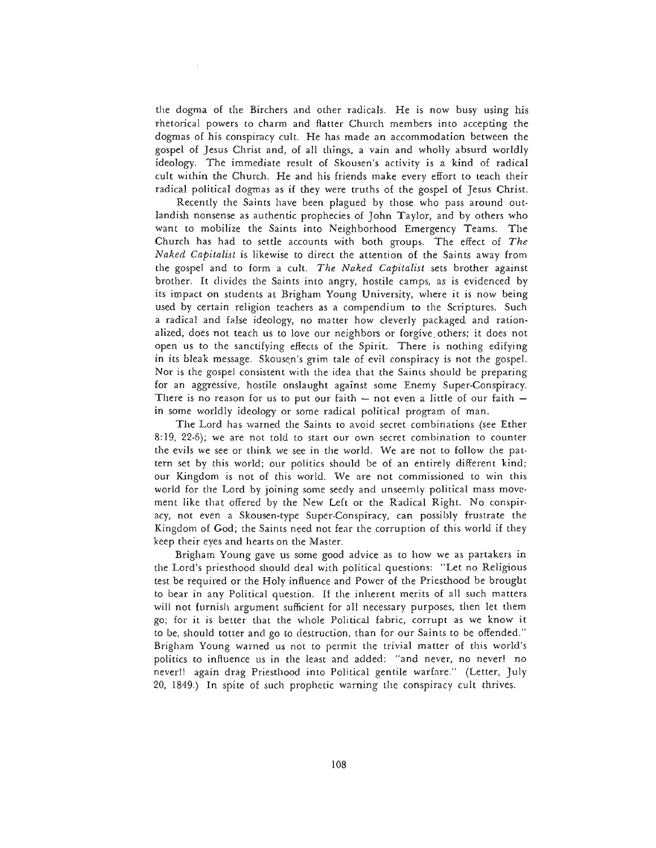the dogma of the Birchers and other radicals. He is now busy using his rhetorical powers to charm and flatter Church members into accepting the dogmas of his conspiracy cult. He has made an accommodation between the gospel of Jesus Christ and, of all things, a vain and wholly absurd worldly ideology. The immediate result of Skousen's activity is a kind of radical cult within the Church. He and his friends make every effort to teach their radical political dogmas as if they were truths of the gospel of Jesus Christ.

Recently the Saints have been plagued by those who pass around outlandish nonsense as authentic prophecies of John Taylor, and by others who want to mobilize the Saints into Neighborhood Emergency Teams. The Church has had to settle accounts with both groups. The effect of *The Naked Capitalist* is likewise to direct the attention of the Saints away from the gospel and to form a cult. *The Naked Capitalist* sets brother against brother. It divides the Saints into angry, hostile camps, as is evidenced by its impact on students at Brigham Young University, where it is now being used by certain religion teachers as a compendium to the Scriptures. Such a radical and false ideology, no matter how cleverly packaged and rationalized, does not teach us to love our neighbors or forgive others; it does not open us to the sanctifying effects of the Spirit. There is nothing edifying in its bleak message. Skousen's grim tale of evil conspiracy is not the gospel. Nor is the gospel consistent with the idea that the Saints should be preparing for an aggressive, hostile onslaught against some Enemy Super-Conspiracy. There is no reason for us to put our faith  $-$  not even a little of our faith  $$ in some worldly ideology or some radical political program of man.

The Lord has warned the Saints to avoid secret combinations (see Ether 8:19, 22-6); we are not told to start our own secret combination to counter the evils we see or think we see in the world. We are not to follow the pattern set by this world; our politics should be of an entirely different kind; our Kingdom is not of this world. We are not commissioned to win this world for the Lord by joining some seedy and unseemly political mass movement like that offered by the New Left or the Radical Right. No conspiracy, not even a Skousen-type Super-Conspiracy, can possibly frustrate the Kingdom of God; the Saints need not fear the corruption of this world if they keep their eyes and hearts on the Master.

Brigham Young gave us some good advice as to how we as partakers in the Lord's priesthood should deal with political questions: "Let no Religious test be required or the Holy influence and Power of the Priesthood be brought to bear in any Political question. If the inherent merits of all such matters will not furnish argument sufficient for all necessary purposes, then let them go; for it is better that the whole Political fabric, corrupt as we know it to be, should totter and go to destruction, than for our Saints to be offended." Brigham Young warned us not to permit the trivial matter of this world's politics to influence us in the least and added: "and never, no never! no never!! again drag Priesthood into Political gentile warfare." (Letter, July 20, 1849.) In spite of such prophetic warning the conspiracy cult thrives.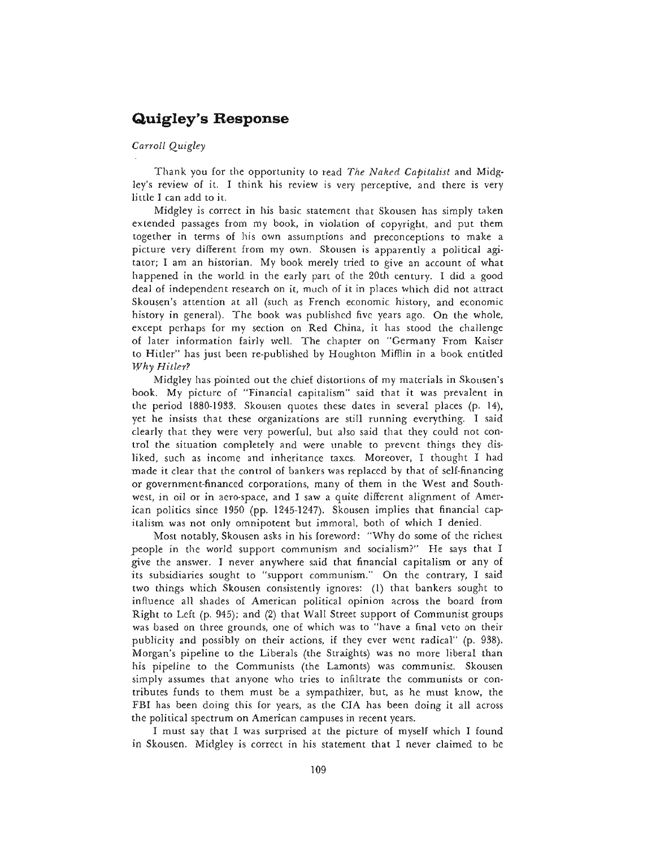# **Quigley's Response**

## *Carroll Quigley*

Thank you for the opportunity to read *The Naked Capitalist* and Midgley's review of it. I think his review is very perceptive, and there is very little I can add to it.

Midgley is correct in his basic statement that Skousen has simply taken extended passages from my book, in violation of copyright, and put them together in terms of his own assumptions and preconceptions to make a picture very different from my own. Skousen is apparently a political agitator; I am an historian. My book merely tried to give an account of what happened in the world in the early part of the 20th century. I did a good deal of independent research on it, much of it in places which did not attract Skousen's attention at all (such as French economic history, and economic history in general). The book was published five years ago. On the whole, except perhaps for my section on Red China, it has stood the challenge of later information fairly well. The chapter on "Germany From Kaiser to Hitler" has just been re-published by Houghton Mifflin in a book entitled *Why Hitler?*

Midgley has pointed out the chief distortions of my materials in Skousen's book. My picture of "Financial capitalism" said that it was prevalent in the period 1880-1933. Skousen quotes these dates in several places (p. 14), yet he insists that these organizations are still running everything. I said clearly that they were very powerful, but also said that they could not control the situation completely and were unable to prevent things they disliked, such as income and inheritance taxes. Moreover, I thought I had made it clear that the control of bankers was replaced by that of self-financing or government-financed corporations, many of them in the West and Southwest, in oil or in aero-space, and I saw a quite different alignment of American politics since 1950 (pp. 1245-1247). Skousen implies that financial capitalism was not only omnipotent but immoral, both of which I denied.

Most notably, Skousen asks in his foreword: "Why do some of the richest people in the world support communism and socialism?" He says that I give the answer. I never anywhere said that financial capitalism or any of its subsidiaries sought to "support communism." On the contrary, I said two things which Skousen consistently ignores: (1) that bankers sought to influence all shades of American political opinion across the board from Right to Left (p. 945); and (2) that Wall Street support of Communist groups was based on three grounds, one of which was to "have a final veto on their publicity and possibly on their actions, if they ever went radical" (p. 938). Morgan's pipeline to the Liberals (the Straights) was no more liberal than his pipeline to the Communists (the Lamonts) was communist. Skousen simply assumes that anyone who tries to infiltrate the communists or contributes funds to them must be a sympathizer, but, as he must know, the FBI has been doing this for years, as the CIA has been doing it all across the political spectrum on American campuses in recent years.

I must say that I was surprised at the picture of myself which I found in Skousen. Midgley is correct in his statement that I never claimed to be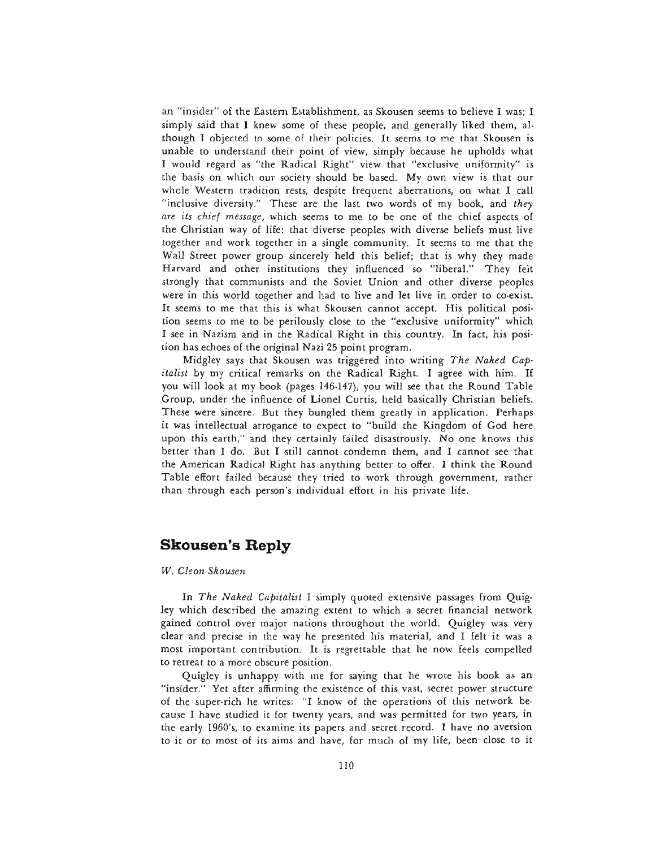an "insider" of the Eastern Establishment, as Skousen seems to believe I was; I simply said that I knew some of these people, and generally liked them, although I objected to some of their policies. It seems to me that Skousen is unable to understand their point of view, simply because he upholds what I would regard as "the Radical Right" view that "exclusive uniformity" is the basis on which our society should be based. My own view is that our whole Western tradition rests, despite frequent aberrations, on what I call "inclusive diversity." These are the last two words of my book, and *they are its chief message,* which seems to me to be one of the chief aspects of the Christian way of life: that diverse peoples with diverse beliefs must live together and work together in a single community. It seems to me that the Wall Street power group sincerely held this belief; that is why they made Harvard and other institutions they influenced so "liberal." They felt strongly that communists and the Soviet Union and other diverse peoples were in this world together and had to live and let live in order to co-exist. It seems to me that this is what Skousen cannot accept. His political position seems to me to be perilously close to the "exclusive uniformity" which I see in Nazism and in the Radical Right in this country. In fact, his position has echoes of the original Nazi 25 point program.

Midgley says that Skousen was triggered into writing *The Naked Capitalist* by my critical remarks on the Radical Right. I agree with him. If you will look at my book (pages 146-147), you will see that the Round Table Group, under the influence of Lionel Curtis, held basically Christian beliefs. These were sincere. But they bungled them greatly in application. Perhaps it was intellectual arrogance to expect to "build the Kingdom of God here upon this earth," and they certainly failed disastrously. No one knows this better than I do. But I still cannot condemn them, and I cannot see that the American Radical Right has anything better to offer. I think the Round Table effort failed because they tried to work through government, rather than through each person's individual effort in his private life.

# **Skousen's Reply**

#### *W. Cleon Skousen*

In *The Naked Capitalist* I simply quoted extensive passages from Quigley which described the amazing extent to which a secret financial network gained control over major nations throughout the world. Quigley was very clear and precise in the way he presented his material, and I felt it was a most important contribution. It is regrettable that he now feels compelled to retreat to a more obscure position.

Quigley is unhappy with me for saying that he wrote his book as an "insider." Yet after affirming the existence of this vast, secret power structure of the super-rich he writes: "I know of the operations of this network because I have studied it for twenty years, and was permitted for two years, in the early 1960's, to examine its papers and secret record. I have no aversion to it or to most of its aims and have, for much of my life, been close to it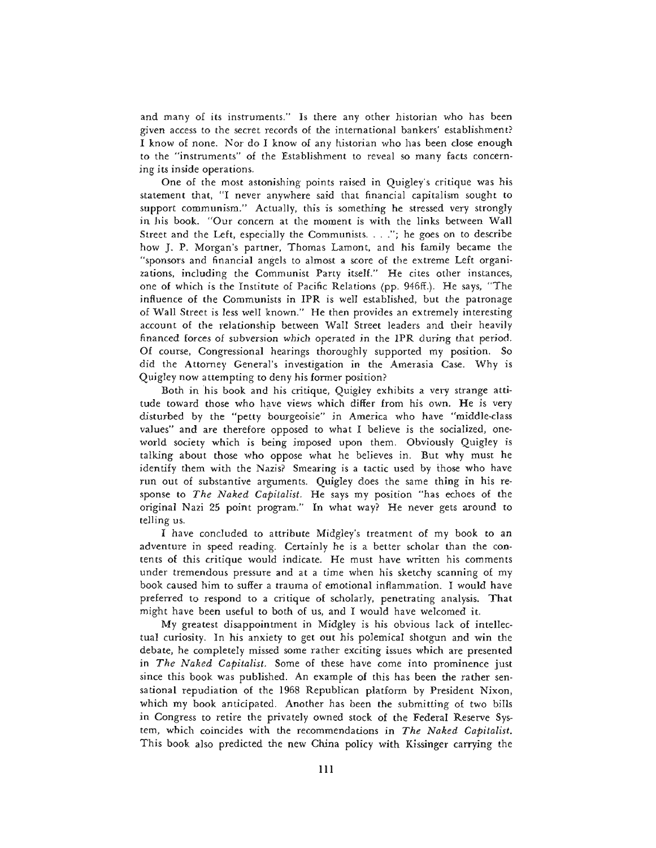and many of its instruments." Is there any other historian who has been given access to the secret records of the international bankers' establishment? I know of none. Nor do I know of any historian who has been close enough to the "instruments" of the Establishment to reveal so many facts concerning its inside operations.

One of the most astonishing points raised in Quigley's critique was his statement that, "I never anywhere said that financial capitalism sought to support communism." Actually, this is something he stressed very strongly in his book. "Our concern at the moment is with the links between Wall Street and the Left, especially the Communists. . . ."; he goes on to describe how J. P. Morgan's partner, Thomas Lamont, and his family became the "sponsors and financial angels to almost a score of the extreme Left organizations, including the Communist Party itself." He cites other instances, one of which is the Institute of Pacific Relations (pp. 946ff.). He says, "The influence of the Communists in IPR is well established, but the patronage of Wall Street is less well known." He then provides an extremely interesting account of the relationship between Wall Street leaders and their heavily financed forces of subversion which operated in the IPR during that period. Of course, Congressional hearings thoroughly supported my position. So did the Attorney General's investigation in the Amerasia Case. Why is Quigley now attempting to deny his former position?

Both in his book and his critique, Quigley exhibits a very strange attitude toward those who have views which differ from his own. He is very disturbed by the "petty bourgeoisie" in America who have "middle-class values" and are therefore opposed to what I believe is the socialized, oneworld society which is being imposed upon them. Obviously Quigley is talking about those who oppose what he believes in. But why must he identify them with the Nazis? Smearing is a tactic used by those who have run out of substantive arguments. Quigley does the same thing in his response to *The Naked Capitalist.* He says my position "has echoes of the original Nazi 25 point program." In what way? He never gets around to telling us.

I have concluded to attribute Midgley's treatment of my book to an adventure in speed reading. Certainly he is a better scholar than the contents of this critique would indicate. He must have written his comments under tremendous pressure and at a time when his sketchy scanning of my book caused him to suffer a trauma of emotional inflammation. I would have preferred to respond to a critique of scholarly, penetrating analysis. That might have been useful to both of us, and I would have welcomed it.

My greatest disappointment in Midgley is his obvious lack of intellectual curiosity. In his anxiety to get out his polemical shotgun and win the debate, he completely missed some rather exciting issues which are presented in *The Naked Capitalist.* Some of these have come into prominence just since this book was published. An example of this has been the rather sensational repudiation of the 1968 Republican platform by President Nixon, which my book anticipated. Another has been the submitting of two bills in Congress to retire the privately owned stock of the Federal Reserve System, which coincides with the recommendations in *The Naked Capitalist.* This book also predicted the new China policy with Kissinger carrying the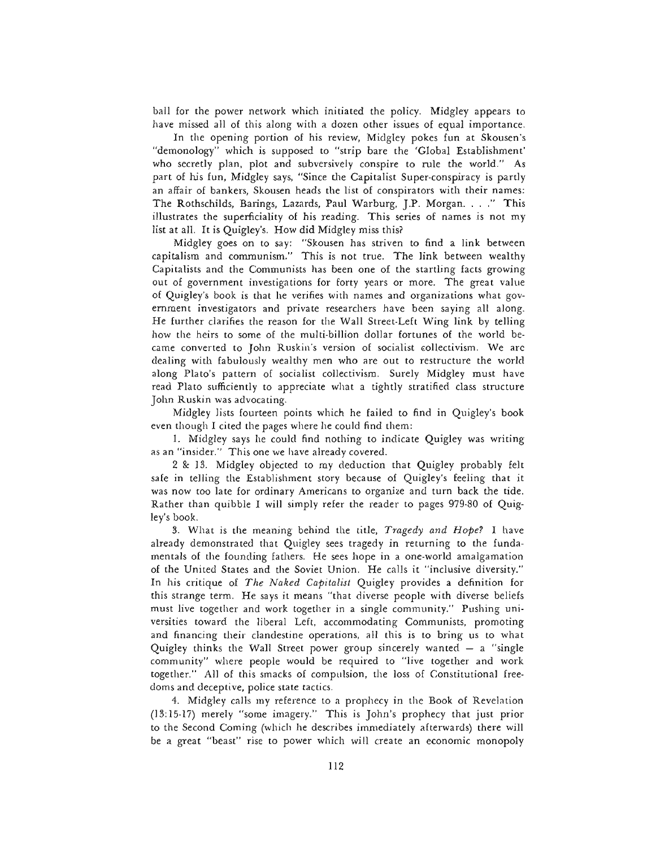ball for the power network which initiated the policy. Midgley appears to have missed all of this along with a dozen other issues of equal importance.

In the opening portion of his review, Midgley pokes fun at Skousen's "demonology" which is supposed to "strip bare the 'Global Establishment' who secretly plan, plot and subversively conspire to rule the world." As part of his fun, Midgley says, "Since the Capitalist Super-conspiracy is partly an affair of bankers, Skousen heads the list of conspirators with their names: The Rothschilds, Barings, Lazards, Paul Warburg, J.P. Morgan. . . ." This illustrates the superficiality of his reading. This series of names is not my list at all. It is Quigley's. How did Midgley miss this?

Midgley goes on to say: "Skousen has striven to find a link between capitalism and communism." This is not true. The link between wealthy Capitalists and the Communists has been one of the startling facts growing out of government investigations for forty years or more. The great value of Quigley's book is that he verifies with names and organizations what government investigators and private researchers have been saying all along. He further clarifies the reason for the Wall Street-Left Wing link by telling how the heirs to some of the multi-billion dollar fortunes of the world became converted to John Ruskin's version of socialist collectivism. We arc dealing with fabulously wealthy men who are out to restructure the world along Plato's pattern of socialist collectivism. Surely Midgley must have read Plato sufficiently to appreciate what a tightly stratified class structure John Ruskin was advocating.

Midgley lists fourteen points which he failed to find in Quigley's book even though I cited the pages where he could find them:

1. Midgley says he could find nothing to indicate Quigley was writing as an "insider." This one we have already covered.

2 & 13. Midgley objected to my deduction that Quigley probably felt safe in telling the Establishment story because of Quigley's feeling that it was now too late for ordinary Americans to organize and turn back the tide. Rather than quibble I will simply refer the reader to pages 979-80 of Quigley's book.

3. What is the meaning behind the title, *Tragedy and Hope?* I have already demonstrated that Quigley sees tragedy in returning to the fundamentals of the founding fathers. He sees hope in a one-world amalgamation of the United States and the Soviet Union. He calls it "inclusive diversity." In his critique of *The Naked Capitalist* Quigley provides a definition for this strange term. He says it means "that diverse people with diverse beliefs must live together and work together in a single community." Pushing universities toward the liberal Left, accommodating Communists, promoting and financing their clandestine operations, all this is to bring us to what Quigley thinks the Wall Street power group sincerely wanted — a "single community" where people would be required to "live together and work together." All of this smacks of compulsion, the loss of Constitutional freedoms and deceptive, police state tactics.

4. Midgley calls my reference to a prophecy in the Book of Revelation (13:15-17) merely "some imagery." This is John's prophecy that just prior to the Second Coming (which he describes immediately afterwards) there will be a great "beast" rise to power which will create an economic monopoly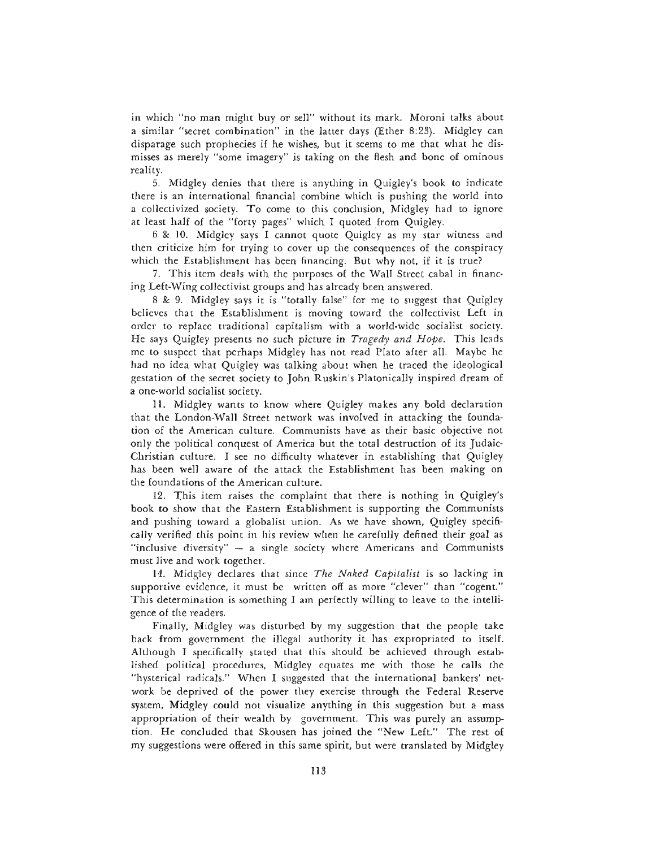in which "no man might buy or sell" without its mark. Moroni talks about a similar "secret combination" in the latter days (Ether 8:23). Midgley can disparage such prophecies if he wishes, but it seems to me that what he dismisses as merely "some imagery" is taking on the flesh and bone of ominous reality.

5. Midgley denies that there is anything in Quigley's book to indicate there is an international financial combine which is pushing the world into a collectivized society. To come to this conclusion, Midgley had to ignore at least half of the "forty pages" which I quoted from Quigley.

6 & 10. Midgley says I cannot quote Quigley as my star witness and then criticize him for trying to cover up the consequences of the conspiracy which the Establishment has been financing. But why not, if it is true?

7. This item deals with the purposes of the Wall Street cabal in financing Left-Wing collectivist groups and has already been answered.

8 & 9. Midgley says it is "totally false" for me to suggest that Quigley believes that the Establishment is moving toward the collectivist Left in order to replace traditional capitalism with a world-wide socialist society. He says Quigley presents no such picture in *Tragedy and Hope.* This leads me to suspect that perhaps Midgley has not read Plato after all. Maybe he had no idea what Quigley was talking about when he traced the ideological gestation of the secret society to John Ruskin's Platonically inspired dream of a one-world socialist society.

11. Midgley wants to know where Quigley makes any bold declaration that the London-Wall Street network was involved in attacking the foundation of the American culture. Communists have as their basic objective not only the political conquest of America but the total destruction of its Judaic-Christian culture. I see no difficulty whatever in establishing that Quigley has been well aware of the attack the Establishment has been making on the foundations of the American culture.

12. This item raises the complaint that there is nothing in Quigley's book to show that the Eastern Establishment is supporting the Communists and pushing toward a globalist union. As we have shown, Quigley specifically verified this point in his review when he carefully defined their goal as "inclusive diversity"  $-$  a single society where Americans and Communists must live and work together.

14. Midgley declares that since *The Naked Capitalist* is so lacking in supportive evidence, it must be written off as more "clever" than "cogent." This determination is something I am perfectly willing to leave to the intelligence of the readers.

Finally, Midgley was disturbed by my suggestion that the people take back from government the illegal authority it has expropriated to itself. Although I specifically stated that this should be achieved through established political procedures, Midgley equates me with those he calls the "hysterical radicals." When I suggested that the international bankers' network be deprived of the power they exercise through the Federal Reserve system, Midgley could not visualize anything in this suggestion but a mass appropriation of their wealth by government. This was purely an assumption. He concluded that Skousen has joined the "New Left." The rest of my suggestions were offered in this same spirit, but were translated by Midgley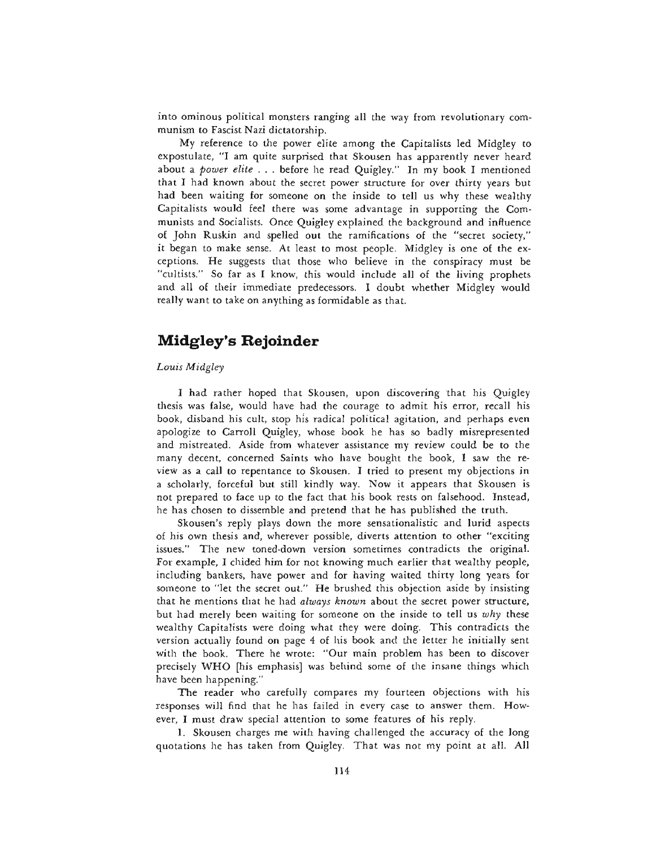into ominous political monsters ranging all the way from revolutionary communism to Fascist Nazi dictatorship.

My reference to the power elite among the Capitalists led Midgley to expostulate, "I am quite surprised that Skousen has apparently never heard about a *power elite . .* . before he read Quigley." In my book I mentioned that I had known about the secret power structure for over thirty years but had been waiting for someone on the inside to tell us why these wealthy Capitalists would feel there was some advantage in supporting the Communists and Socialists. Once Quigley explained the background and influence of John Ruskin and spelled out the ramifications of the "secret society," it began to make sense. At least to most people. Midgley is one of the exceptions. He suggests that those who believe in the conspiracy must be "cultists." So far as I know, this would include all of the living prophets and all of their immediate predecessors. I doubt whether Midgley would really want to take on anything as formidable as that.

# **Midgley's Rejoinder**

#### *Louis Midgley*

I had rather hoped that Skousen, upon discovering that his Quigley thesis was false, would have had the courage to admit his error, recall his book, disband his cult, stop his radical political agitation, and perhaps even apologize to Carroll Quigley, whose book he has so badly misrepresented and mistreated. Aside from whatever assistance my review could be to the many decent, concerned Saints who have bought the book, I saw the review as a call to repentance to Skousen. I tried to present my objections in a scholarly, forceful but still kindly way. Now it appears that Skousen is not prepared to face up to the fact that his book rests on falsehood. Instead, he has chosen to dissemble and pretend that he has published the truth.

Skousen's reply plays down the more sensationalistic and lurid aspects of his own thesis and, wherever possible, diverts attention to other "exciting issues." The new toned-down version sometimes contradicts the original. For example, I chided him for not knowing much earlier that wealthy people, including bankers, have power and for having waited thirty long years for someone to "let the secret out." He brushed this objection aside by insisting that he mentions that he had *always known* about the secret power structure, but had merely been waiting for someone on the inside to tell us *why* these wealthy Capitalists were doing what they were doing. This contradicts the version actually found on page 4 of his book and the letter he initially sent with the book. There he wrote: "Our main problem has been to discover precisely WHO [his emphasis] was behind some of the insane things which have been happening."

The reader who carefully compares my fourteen objections with his responses will find that he has failed in every case to answer them. However, I must draw special attention to some features of his reply.

1. Skousen charges me with having challenged the accuracy of the long quotations he has taken from Quigley. That was not my point at all. All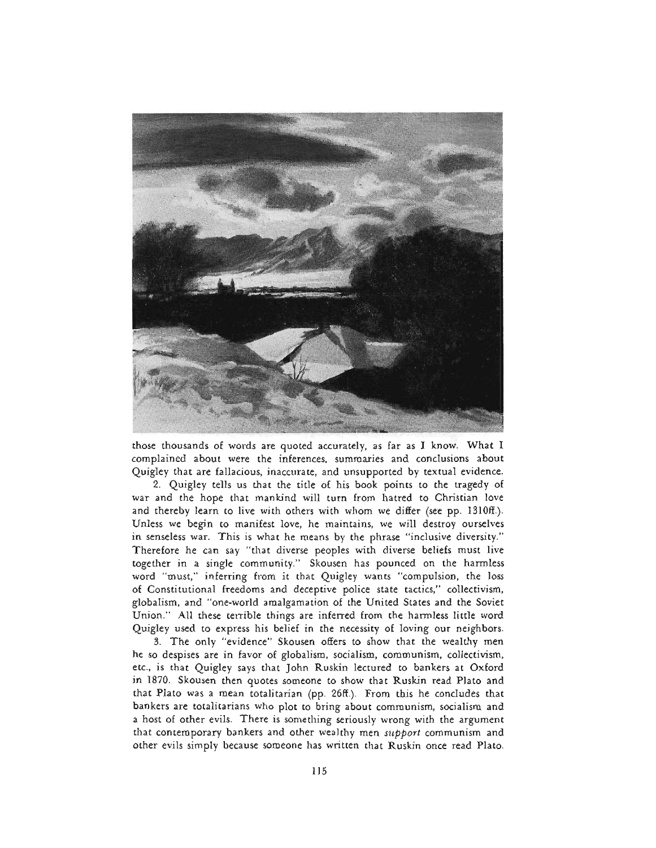

those thousands of words are quoted accurately, as far as I know. What I complained about were the inferences, summaries and conclusions about Quigley that are fallacious, inaccurate, and unsupported by textual evidence.

2. Quigley tells us that the title of his book points to the tragedy of war and the hope that mankind will turn from hatred to Christian love and thereby learn to live with others with whom we differ (see pp. 1310ff.). Unless we begin to manifest love, he maintains, we will destroy ourselves in senseless war. This is what he means by the phrase "inclusive diversity." Therefore he can say "that diverse peoples with diverse beliefs must live together in a single community." Skousen has pounced on the harmless word "must," inferring from it that Quigley wants "compulsion, the loss of Constitutional freedoms and deceptive police state tactics," collectivism, globalism, and "one-world amalgamation of the United States and the Soviet Union." All these terrible things are inferred from the harmless little word Quigley used to express his belief in the necessity of loving our neighbors.

3. The only "evidence" Skousen offers to show that the wealthy men he so despises are in favor of globalism, socialism, communism, collectivism, etc., is that Quigley says that John Ruskin lectured to bankers at Oxford in 1870. Skousen then quotes someone to show that Ruskin read Plato and that Plato was a mean totalitarian (pp. 26ff.). From this he concludes that bankers are totalitarians who plot to bring about communism, socialism and a host of other evils. There is something seriously wrong with the argument that contemporary bankers and other wealthy men *support* communism and other evils simply because someone has written that Ruskin once read Plato.